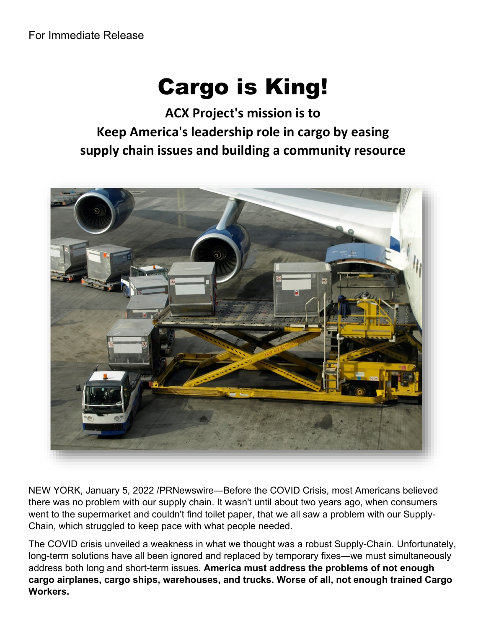## Cargo is King!

**ACX Project's mission is to Keep America's leadership role in cargo by easing supply chain issues and building a community resource**



NEW YORK, January 5, 2022 /PRNewswire—Before the COVID Crisis, most Americans believed there was no problem with our supply chain. It wasn't until about two years ago, when consumers went to the supermarket and couldn't find toilet paper, that we all saw a problem with our Supply-Chain, which struggled to keep pace with what people needed.

The COVID crisis unveiled a weakness in what we thought was a robust Supply-Chain. Unfortunately, long-term solutions have all been ignored and replaced by temporary fixes—we must simultaneously address both long and short-term issues. **America must address the problems of not enough cargo airplanes, cargo ships, warehouses, and trucks. Worse of all, not enough trained Cargo Workers.**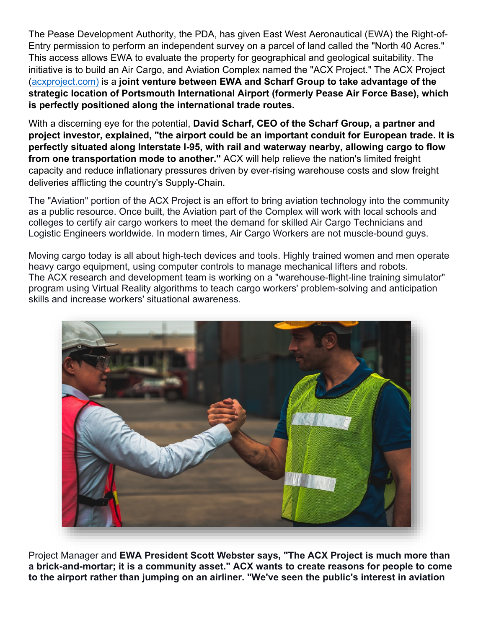The Pease Development Authority, the PDA, has given East West Aeronautical (EWA) the Right-of-Entry permission to perform an independent survey on a parcel of land called the "North 40 Acres." This access allows EWA to evaluate the property for geographical and geological suitability. The initiative is to build an Air Cargo, and Aviation Complex named the "ACX Project." The ACX Project [\(acxproject.com\)](http://www.acxproject.com/) is a **joint venture between EWA and Scharf Group to take advantage of the strategic location of Portsmouth International Airport (formerly Pease Air Force Base), which is perfectly positioned along the international trade routes.** 

With a discerning eye for the potential, **David Scharf, CEO of the Scharf Group, a partner and project investor, explained, "the airport could be an important conduit for European trade. It is perfectly situated along Interstate I-95, with rail and waterway nearby, allowing cargo to flow from one transportation mode to another."** ACX will help relieve the nation's limited freight capacity and reduce inflationary pressures driven by ever-rising warehouse costs and slow freight deliveries afflicting the country's Supply-Chain.

The "Aviation" portion of the ACX Project is an effort to bring aviation technology into the community as a public resource. Once built, the Aviation part of the Complex will work with local schools and colleges to certify air cargo workers to meet the demand for skilled Air Cargo Technicians and Logistic Engineers worldwide. In modern times, Air Cargo Workers are not muscle-bound guys.

Moving cargo today is all about high-tech devices and tools. Highly trained women and men operate heavy cargo equipment, using computer controls to manage mechanical lifters and robots. The ACX research and development team is working on a "warehouse-flight-line training simulator" program using Virtual Reality algorithms to teach cargo workers' problem-solving and anticipation skills and increase workers' situational awareness.



Project Manager and **EWA President Scott Webster says, "The ACX Project is much more than a brick-and-mortar; it is a community asset." ACX wants to create reasons for people to come to the airport rather than jumping on an airliner. "We've seen the public's interest in aviation**